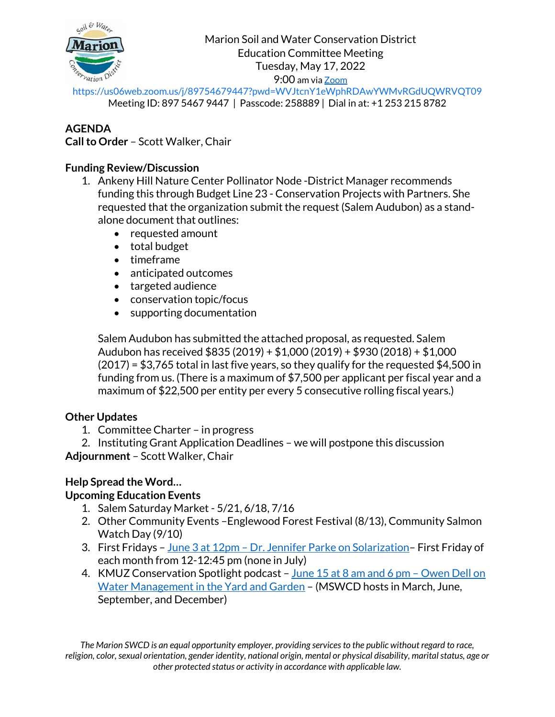

<https://us06web.zoom.us/j/89754679447?pwd=WVJtcnY1eWphRDAwYWMvRGdUQWRVQT09> Meeting ID: 897 5467 9447 | Passcode: 258889 | Dial in at: +1 253 215 8782

# **AGENDA**

**Call to Order** – Scott Walker, Chair

#### **Funding Review/Discussion**

- 1. Ankeny Hill Nature Center Pollinator Node -District Manager recommends funding this through Budget Line 23 - Conservation Projects with Partners. She requested that the organization submit the request (Salem Audubon) as a standalone document that outlines:
	- requested amount
	- total budget
	- timeframe
	- anticipated outcomes
	- targeted audience
	- conservation topic/focus
	- supporting documentation

Salem Audubon has submitted the attached proposal, as requested. Salem Audubon has received \$835 (2019) + \$1,000 (2019) + \$930 (2018) + \$1,000 (2017) = \$3,765 total in last five years, so they qualify for the requested \$4,500 in funding from us. (There is a maximum of \$7,500 per applicant per fiscal year and a maximum of \$22,500 per entity per every 5 consecutive rolling fiscal years.)

## **Other Updates**

- 1. Committee Charter in progress
- 2. Instituting Grant Application Deadlines we will postpone this discussion **Adjournment** – Scott Walker, Chair

## **Help Spread the Word…**

## **Upcoming Education Events**

- 1. Salem Saturday Market 5/21, 6/18, 7/16
- 2. Other Community Events –Englewood Forest Festival (8/13), Community Salmon Watch Day (9/10)
- 3. First Fridays June 3 at 12pm Dr. Jennifer Parke on Solarization-First Friday of each month from 12-12:45 pm (none in July)
- 4. KMUZ Conservation Spotlight podcast June 15 at 8 am and 6 pm Owen Dell on [Water Management in the Yard and Garden](https://www.marionswcd.net/event/owen-dell-sustainable-landscaping/) – (MSWCD hosts in March, June, September, and December)

*The Marion SWCD is an equal opportunity employer, providing services to the public without regard to race, religion, color, sexual orientation, gender identity, national origin, mental or physical disability, marital status, age or other protected status or activity in accordance with applicable law.*